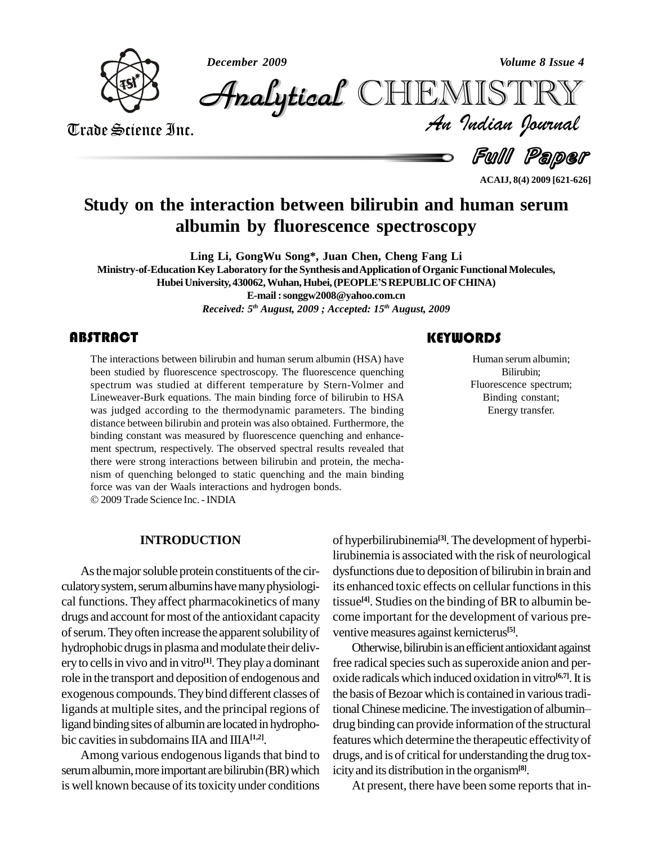*December 2009 Volume 8 Issue 4*



*Volume 8 Issue 4*<br>IISTRY<br>Indian Iournal CHEMISTRY

Trade Science Inc. Trade Science Inc.

 $-$  Full Paper

**ACAIJ, 8(4) 2009 [621-626]**

# **Study on the interaction between bilirubin and human serum albumin by fluorescence spectroscopy**

**Ling Li, GongWu Song\*, Juan Chen, Cheng Fang Li Ministry-of-EducationKeyLaboratory for the Synthesis andApplication ofOrganicFunctionalMolecules,** Ling Li, GongWu Song\*, Juan Chen, Cheng Fang Li<br>ducation Key Laboratory for the Synthesis and Application of Organic Functional Mo<br>Hubei University, 430062, Wuhan, Hubei, (PEOPLE'S REPUBLIC OF CHINA) **E-mail:[songgw2008@yahoo.com.cn](mailto:songgw2008@yahoo.com.cn)** *Received: 5 th August, 2009 ; Accepted: 15 th August, 2009*

# **ABSTRACT**

The interactions between<br>been studied by fluoress<br>spectrum was studied The interactions between bilirubin and human serum albumin (HSA) have been studied by fluorescence spectroscopy. The fluorescence quenching spectrum was studied at different temperature by Stern-Volmer and Lineweaver-Burk equations. The main binding force of bilirubin to HSA was judged according to the thermodynamic parameters. The binding distance between bilirubin and protein was also obtained. Furthermore, the binding constant was measured by fluorescence quenching and enhance ment spectrum, respectively. The observed spectral results revealed that there were strong interactions between bilirubin and protein, the mecha nism of quenching belonged to static quenching and the main binding force was van der Waals interactions and hydrogen bonds. 2009 Trade Science Inc. -INDIA

# **KEYWORDS** Human serum albumin;

Human serum albumin;<br>Bilirubin;<br>Fluorescence spectrum; Bilirubin; Binding constant; Energy transfer.

# **INTRODUCTION**

As the major soluble protein constituents of the circulatory system, serum albumins have many physiological functions. They affect pharmacokinetics of many drugs and account for most of the antioxidant capacity of serum. They often increase the apparent solubility of hydrophobic drugs in plasma and modulate their delivery to cells in vivo and in vitro<sup>[1]</sup>. They play a dominant fre role in the transport and deposition of endogenous and exogenous compounds.Theybind different classes of ligands at multiple sites, and the principal regions of tional Chinese medicine. The investigation of albuminligand binding sites of albumin are located in hydrophobic cavities in subdomains IIA and IIIA<sup>[1,2]</sup>.

Among various endogenous ligands that bind to serum albumin, more important are bilirubin (BR) which is well known because of its toxicity under conditions

of hyperbilirubinemia **[3]**.The development of hyperbilirubinemia is associated with the risk of neurological dysfunctions due to deposition of bilirubin in brain and its enhanced toxic effects on cellular functions in this tissue<sup>[4]</sup>. Studies on the binding of BR to albumin become important for the development of various pre ventive measures against kernicterus<sup>[5]</sup>.

Otherwise, bilirubin is an efficient antioxidant against free radical species such as superoxide anion and peroxide radicals which induced oxidation in vitro<sup>[6,7]</sup>. It is<br>the basis of Bezoar which is contained in various tradi-<br>tional Chinese medicine. The investigation of albumin the basis of Bezoar which is contained in various tradidrug binding can provide information of the structural features which determine the therapeutic effectivityof drugs, and is of critical for understanding the drug toxicityand its distribution in the organism**[8]**.

At present, there have been some reports that in-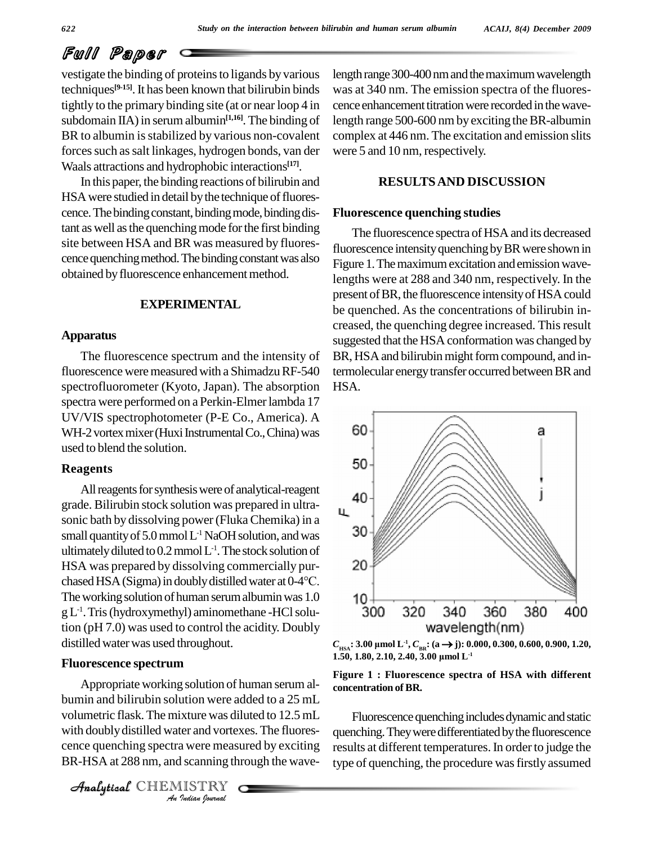# Full Paper

vestigate the binding of proteinsto ligands by various techniques<sup>[9-15]</sup>. It has been known that bilirubin binds was tightly to the primary binding site (at or near loop 4 in subdomain IIA) in serum albumin<sup>[1,16]</sup>. The binding of leng BR to albumin is stabilized by various non-covalent forces such as salt linkages, hydrogen bonds, van der Waals attractions and hydrophobic interactions **[17]**.

In this paper, the binding reactions of bilirubin and HSA were studied in detail by the technique of fluorescence. The binding constant, binding mode, binding distant as well as the quenching mode for the first binding site between HSA and BR was measured by fluorescence quenching method. The binding constant was also obtained by fluorescence enhancement method.

# **EXPERIMENTAL**

#### **Apparatus**

The fluorescence spectrum and the intensity of fluorescence were measured with a Shimadzu RF-540 spectrofluorometer (Kyoto, Japan). The absorption spectra were performed on a Perkin-Elmer lambda 17 UV/VIS spectrophotometer (P-E Co., America). A WH-2 vortex mixer (Huxi Instrumental Co., China) was  $60$ used to blend the solution.

#### **Reagents**

All reagents for synthesis were of analytical-reagent grade. Bilirubin stock solution was prepared in ultra sonic bath by dissolving power (Fluka Chemika) in a<br>small quantity of 5.0 mmol  $I^{-1}$  NaOH solution, and was small quantity of 5.0 mmol  $L$ <sup>1</sup> NaOH solution, and was ultimately diluted to 0.2 mmol L<sup>-1</sup>. The stock solution of<br>HSA was prepared by dissolving commercially pur-<br>chased HSA (Sigma) in doubly distilled water at 0-4°C. HSA was prepared by dissolving commercially pur- The working solution of human serum albumin was 1.0  $10 + 1$ <br>The working solution of human serum albumin was 1.0  $10 + 300$ gL -1 .Tris(hydroxymethyl) aminomethane -HClsolution (pH 7.0) was used to control the acidity. Doubly distilledwaterwas used throughout.

### **Fluorescence spectrum**

volumetric flask. The mixture was diluted to 12.5 mL **Indian**<br>*I* started a were measured a were measured<br>**I** Scanning the<br>*I ISTRY* Appropriate working solution of human serum al bumin and bilirubin solution were added to a 25 mL with doubly distilled water and vortexes. The fluorescence quenching spectra were measured by exciting BR-HSA at 288 nm, and scanning through the wave-

CHEMISTRY

length range 300-400 nm and the maximum wavelength was at 340 nm. The emission spectra of the fluores cence enhancement titration were recorded in the wavelength range 500-600 nm by exciting the BR-albumin complex at 446 nm. The excitation and emission slits were 5 and 10 nm, respectively.

## **RESULTSAND DISCUSSION**

#### **Fluorescence quenching studies**

The fluorescence spectra of HSA and its decreased fluorescence intensity quenching by BR were shown in Figure 1. The maximum excitation and emission wavelengths were at 288 and 340 nm, respectively. In the present of BR, the fluorescence intensity of HSA could be quenched. As the concentrations of bilirubin in creased, the quenching degree increased. This result suggested that the HSA conformation was changed by BR, HSA and bilirubin might form compound, and intermolecular energy transfer occurred between BR and HSA.



**1.50, 1.50, 1.50, 1.50, 2.10, 2.40, 3.00**  $\mu$ mol **L**<sup>-1</sup> *C***<sub>BR</sub><sup>:</sup> (a**  $\rightarrow$  **j): 0.000, <b>1.50,** 1.80, 2.10, 2.40, 3.00  $\mu$ mol **L**<sup>-1</sup>

#### **Figure** 1 **: Fluorescence spectra** of **HSA** with different **concentration ofBR.**

Fluorescence quenching includes dynamic and static quenching. They were differentiated by the fluorescence results at different temperatures. In order to judge the type of quenching, the procedure was firstly assumed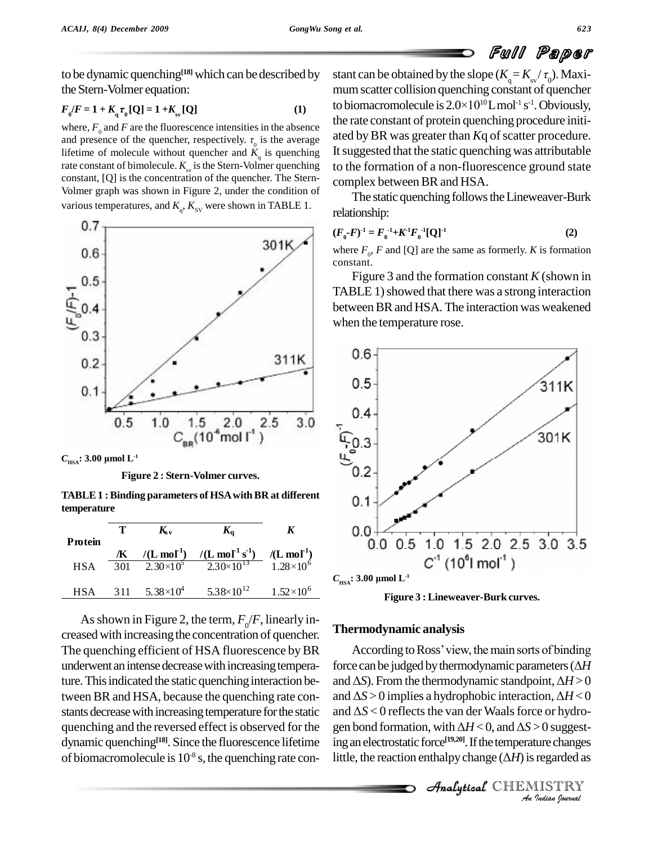to be dynamic quenching **[18]** which can be described by the Stern-Volmer equation:<br> $F_{\theta}/F = 1 + K_{\theta} \tau_{\theta}[Q] = 1 + K_{\theta} [Q]$ 

$$
F_{0}/F = 1 + K_{q} \tau_{0} [Q] = 1 + K_{sv} [Q]
$$
 (1)

where,  $F_0$  and  $F$  are the fluorescence intensities in the absence  $F_0/F = I + K_q F_0 [Q] = I + K_{sv} [Q]$  (1)<br>where,  $F_0$  and F are the fluorescence intensities in the absence the r<br>and presence of the quencher, respectively.  $\tau_0$  is the average ated lifetime of molecule without quencher and  $K_q$  is quenching It sug rate constant of bimolecule.  $K_{\rm sv}$  is the Stern-Volmer quenching to the constant, [Q] is the concentration of the quencher. The Stern- Volmer graph was shown in Figure 2, under the condition of various temperatures, and  $K_q$ ,  $K_{\text{sv}}$  were shown in TABLE 1.





**TABLE1 :Binding parameters of HSAwithBR at different temperature**

| Protein    |     | $K_{\rm sv}$                  | $K_{\alpha}$                            |                                                        |     |
|------------|-----|-------------------------------|-----------------------------------------|--------------------------------------------------------|-----|
|            | Æ   | $/(L \mod 1)$                 | /(L mol <sup>-1</sup> s <sup>-1</sup> ) | $\frac{I(\mathbf{L} \text{ mol}^1)}{1.28 \times 10^6}$ |     |
| <b>HSA</b> | 301 | $2.30\times10^5$              | $2.30\times10^{13}$                     |                                                        |     |
| <b>HSA</b> | 311 | 5.38 $\times$ 10 <sup>4</sup> | $5.38 \times 10^{12}$                   | $1.52 \times 10^6$                                     | HS. |

As shown in Figure 2, the term,  $F_p/F$ , linearly increased with increasing the concentration of quencher. The quenching efficient of HSA fluorescence by BR underwent an intense decrease with increasing temperature. This indicated the static quenching interaction between BR and HSA, because the quenching rate constants decrease with increasing temperature for the static dynamic quenching<sup>[18]</sup>. Since the fluorescence lifetime ing an of biomacromolecule is  $10<sup>8</sup>$  s, the quenching rate con-

stant can be obtained by the slope  $(K_q = K_{sv}/\tau_0)$ . Maxi-<br>mum scatter collision quenching constant of quencher<br>to biomacromolecule is  $2.0 \times 10^{10}$ Lmol<sup>-1</sup> s<sup>-1</sup>. Obviously,  $^{10}$ Lmol<sup>-1</sup> s<sup>-1</sup>. Obviously, the rate constant of protein quenching procedure initi ated by BR was greater than *K*q of scatter procedure. It suggested that the static quenching was attributable to the formation of a non-fluorescence ground state complex between BR and HSA.

The static quenching follows the Lineweaver-Burk relationship:

$$
(F_0 - F)^{-1} = F_0^{-1} + K^{-1} F_0^{-1} [Q]^{-1}
$$
 (2)

where  $F_0$ ,  $F$  and [Q] are the same as formerly.  $K$  is formation constant.

Figure 3 and the formation constant *K* (shown in TABLE 1) showed that there was a strong interaction between BR and HSA. The interaction was weakened when the temperature rose.





# **Thermodynamic analysis**

the van der Waals for *Indian*<br> *I Isuggest-<br>
<i>I ISTRY*<br> *IISTRY*<br> *Indian Sournal* quenching and the reversed effect is observed for the gen bond formation, with  $\Delta H < 0$ , and  $\Delta S > 0$  suggest-According to Ross' view, the main sorts of binding **following 1 nermodynamic analysis**<br>According to Ross' view, the main sorts of binding<br>force can be judged by thermodynamic parameters ( $\Delta H$ According to Ross' view, the main sorts of binding<br>force can be judged by thermodynamic parameters ( $\Delta H$ <br>and  $\Delta S$ ). From the thermodynamic standpoint,  $\Delta H > 0$ force can be judged by thermodynamic parameters ( $\Delta H$ <br>and  $\Delta S$ ). From the thermodynamic standpoint,  $\Delta H > 0$ <br>and  $\Delta S > 0$  implies a hydrophobic interaction,  $\Delta H < 0$ and  $\Delta S$ ). From the thermodynamic standpoint,  $\Delta H > 0$ and  $\Delta S > 0$  implies a hydrophobic interaction,  $\Delta H < 0$ ing an electrostatic force<sup>[19,20]</sup>. If the temperature changes gen bond formation, with  $\Delta H < 0$ , and  $\Delta S > 0$  suggesting an electrostatic force<sup>[19,20]</sup>. If the temperature changes<br>little, the reaction enthalpy change ( $\Delta H$ ) is regarded as

CHEMISTRY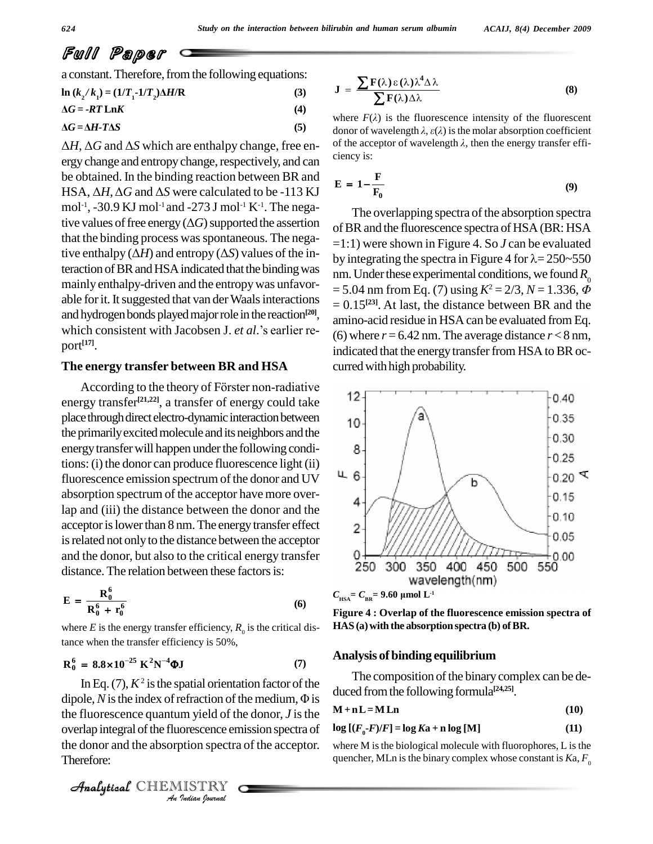$\overline{a}$ 

Ï

Full Paper

**ƒ**

a constant. Therefore, from the following equations:  
\n
$$
\ln (k_2/k_1) = (1/T_1 - 1/T_2)\Delta H/R
$$
\n(3)  
\n
$$
\Delta G = -RT \ln K
$$
\n(4)  
\n
$$
\Delta G = \Delta H - T\Delta S
$$
\n(5)

ergy change and entropy change, respectively, and can<br>be obtained. In the binding reaction between BR and<br>HSA,  $\Delta H$ ,  $\Delta G$  and  $\Delta S$  were calculated to be -113 KJ<br>E = 1be obtained. In the binding reaction between BR and mol -1 , -30.9 KJ mol -1 and -273 J mol -1 K-1 . The nega-HSA,  $\Delta H$ ,  $\Delta G$  and  $\Delta S$  were calculated to be -113 KJ mol<sup>-1</sup>, -30.9 KJ mol<sup>-1</sup> and -273 J mol<sup>-1</sup> K<sup>-1</sup>. The negative values of free energy( $\Delta G$ ) supported the assertion that the binding process was spontaneous. The negative enthalpy ( $\Delta H$ ) and entropy ( $\Delta S$ ) values of the interaction of BR and HSA indicated that the binding was  $\frac{1}{2}$  m. Under these experimental conditions, we found  $R_0$ mainly enthalpy-driven and the entropywas unfavor able forit.Itsuggested that van derWaalsinteractions and hydrogen bonds played major role in the reaction<sup>[20]</sup>, amiable for it. It suggested that van der Waals interactions  $= 0$ <br>and hydrogen bonds played major role in the reaction<sup>[20]</sup>, ani<br>which consistent with Jacobsen J. *et al.*'s earlier report **[17]**.

### **The energy transfer between BR and HSA**

According to the theory of Förster non-radiative  $\frac{1127}{2}$  (12) energy transfer<sup>[21,22]</sup>, a transfer of energy could take  $\frac{1}{2}$ place through direct electro-dynamic interaction between 10 the primarily excited molecule and its neighbors and the energy transfer will happen under the following conditions: (i) the donor can produce fluorescence light (ii)<br>fluorescence emission spectrum of the donor and  $IIV$ fluorescence emission spectrum of the donor and UV absorption spectrum of the acceptor have more overlap and (iii) the distance between the donor and the acceptor is lower than 8 nm. The energy transfer effect is related not only to the distance between the acceptor and the donor, but also to the critical energy transfer distance. The relation between these factors is:

$$
E = \frac{R_0^6}{R_0^6 + r_0^6}
$$
 (6)

where  $E$  is the energy transfer efficiency,  $R_0$  is the critical distance when the transfer efficiency is 50%,<br> $\mathbf{R}_0^6 = 8.8 \times 10^{-25} \text{ K}^2 \text{N}^{-4} \text{QJ}$ 

$$
R_0^6 = 8.8 \times 10^{-25} \text{ K}^2 \text{N}^{-4} \text{ }\Phi \text{J}
$$
 (7)

*An Indian Journal* Analyticalthe fluorescence quantum yield of the donor, *J* isthe In Eq. (7),  $K^2$  is the spatial orientation factor of the dipole,  $N$  is the index of refraction of the medium,  $\Phi$  is overlap integral of the fluorescence emission spectra of the donor and the absorption spectra of the acceptor. Therefore:

$$
\mathbf{J} = \frac{\sum \mathbf{F}(\lambda) \varepsilon(\lambda) \lambda^4 \Delta \lambda}{\sum \mathbf{F}(\lambda) \Delta \lambda}
$$
 (8)  
where  $F(\lambda)$  is the fluorescence intensity of the fluorescent

 $\Delta G = \Delta H \cdot I \Delta S$ <br> $\Delta H$ ,  $\Delta G$  and  $\Delta S$  which are enthalpy change, free en-<br> $\Delta H$ ,  $\Delta G$  and  $\Delta S$  which are enthalpy change, free en-<br>of the acceptor of wavelength  $\lambda$ , then the energy transfer effiwhere  $F(\lambda)$  is the fluorescence intensity of the fluorescent donor of wavelength  $\lambda$ ,  $\varepsilon(\lambda)$  is the molar absorption coefficient where  $F(\lambda)$  is the fluorescence intensity of the fluorescent donor of wavelength  $\lambda$ ,  $\varepsilon(\lambda)$  is the molar absorption coefficient of the acceptor of wavelength  $\lambda$ , then the energy transfer efficiency is:

ciency is:  
\n
$$
E = 1 - \frac{F}{F_0}
$$
\n(9)

The overlapping spectra of the absorption spectra of BR and the fluorescence spectra of HSA (BR: HSA =1:1) were shown in Figure 4. So *J* can be evaluated by integrating the spectra in Figure 4 for  $\lambda = 250 - 550$  $n = 5.04$  nm from Eq. (7) using  $K^2 = 2/3$ ,  $N = 1.336$ ,  $\ddot{\phi}$ = 0.15 **[23]**. At last, the distance between BR and the amino-acid residue in HSA can be evaluated from Eq. (6) where  $r = 6.42$  nm. The average distance  $r < 8$  nm, indicated that the energy transfer from HSA to BR occurred with high probability.



**Figure 4 : Overlap of the fluorescence emission spectra of HAS (a)with the absorption spectra (b) ofBR.**

#### **Analysis of binding equilibrium**

The composition of the binary complex can be deduced fromthe following formula **[24,25]**.

$$
M + nL = M Ln
$$
 (10)

$$
\log\left[\left(F_{0} - F\right)/F\right] = \log Ka + n\log\left[M\right] \tag{11}
$$

where  $M$  is the biological molecule with fluorophores,  $L$  is the quencher, MLn is the binary complex whose constant is  $Ka, F_0$ 

CHEMISTRY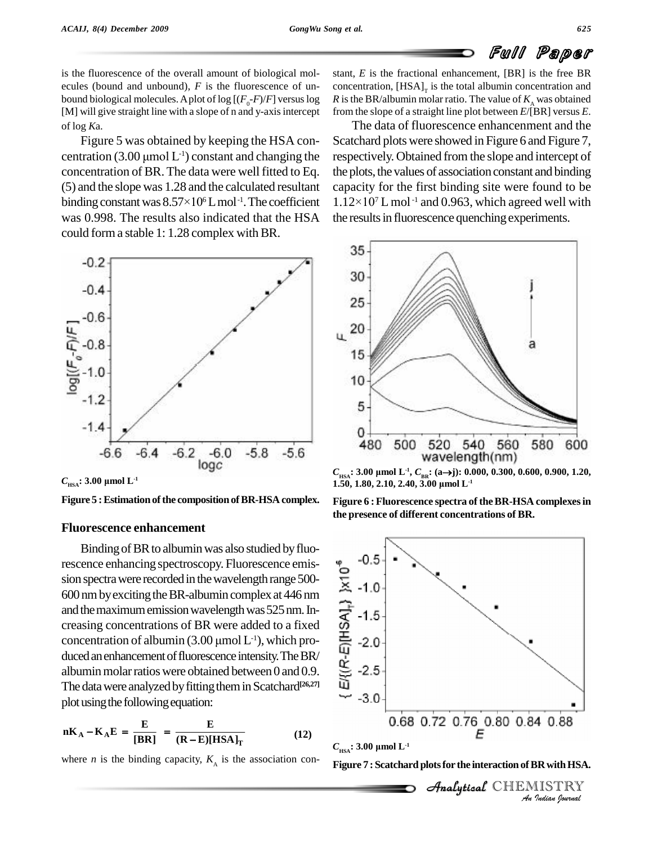is the fluorescence of the overall amount of biological mol ecules (bound and unbound), *F* is the fluorescence of un bound biological molecules. A plot of log  $[(F_0-F)/F]$  versus log [M] will give straight line with a slope of n and y-axis intercept of log *K*a.

Figure 5 was obtained by keeping the HSA con of log Ka. The S was obtained by keeping the HSA con-<br>
constant and changing the respected resolution (3.00  $\mu$ mol L<sup>-1</sup>) constant and changing the respected concentration of BR. The data were well fitted to Eq. (5) and the slope was 1.28 and the calculated resultant concentration of BR. The data were we<br>(5) and the slope was 1.28 and the calcu<br>binding constant was  $8.57\times10^6$  L mol<sup>-1</sup>.  ${}^6$  L mol<sup>-1</sup>. The coefficient 1.1 was 0.998. The results also indicated that the HSA could form a stable 1: 1.28 complex with BR.



**Figure 5 : Estimation of the composition of BR-HSA complex.** 

### **Fluorescence enhancement**

Binding of BR to albumin was also studied by fluorescence enhancing spectroscopy. Fluorescence emis-<br>sion spectra were recorded in the wavelength range 500-<br>600 nm by exciting the BR-albumin complex at 446 nm<br>and the maximum emission wavelength was 525 nm. In-<br>creasing sion spectra were recorded in the wavelength range 500-600nmbyexcitingtheBR-albumin complexat 446 nm and the maximum emission wavelength was 525 nm. In-<br>creasing concentrations of BR were added to a fixed<br>concentration of albumin (3.00 µmol L<sup>-1</sup>), which procreasing concentrations of BR were added to a fixed concentration of albumin  $(3.00 \,\mu\text{mol L}^{-1})$ , which produced an enhancement of fluorescence intensity. The BR/ albumin molar ratios were obtained between 0 and 0.9. The data were analyzed by fitting them in Scatchard<sup>[26,27]</sup> plot using the following equation:

plot using the following equation:  
\n
$$
nK_A - K_A E = \frac{E}{[BR]} = \frac{E}{(R - E)[HSA]_T}
$$
\n(12)

where *n* is the binding capacity,  $K_A$  is the association con-

stant, *E* is the fractional enhancement, [BR] is the free BR concentration,  $[{\text{HSA}}]$ <sub>r</sub> is the total albumin concentration and *R* is the BR/albumin molar ratio. The value of  $K_{\lambda}$  was obtained from the slope of a straight line plot between *E*/[BR] versus *E*.

The data of fluorescence enhancenment and the Scatchard plots were showed in Figure 6 and Figure 7, respectively. Obtained from the slope and intercept of the plots, the values of association constant and binding capacity for the first binding site were found to be the plots, the values<br>capacity for the fi<br> $1.12\times10^{7}$  L mol<sup>-1</sup>  $7$  L mol<sup>-1</sup> and 0.963, which agreed well with the results in fluorescence quenching experiments.



**1.50, 1.50, <b>1.50, 1.50, 1.50, 2.10, 2.40, 3.00**  $\mu$ mol **L**<sup>-1</sup>

**Figure 6 :Fluorescence spectra of theBR-HSA complexesin the presence of different concentrations of BR.**





**Figure 7 : Scatchard plotsfor the interaction ofBRwithHSA.**

CHEMISTRY